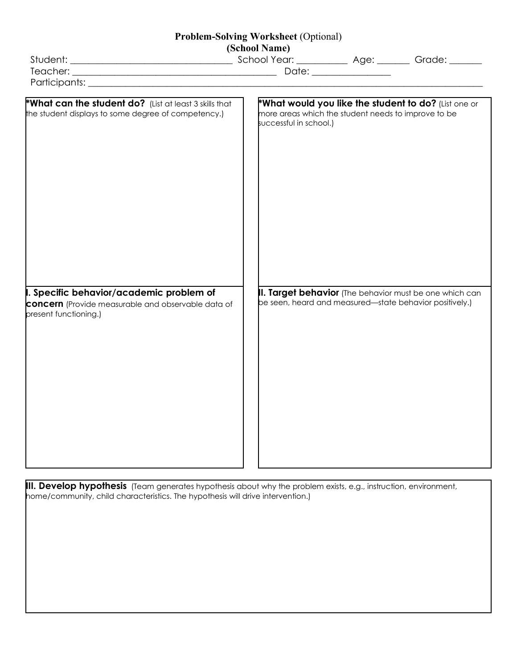## **Problem-Solving Worksheet** (Optional)

| (School Name)                                                                                                                  |  |                                                                               |  |                                                                                                                    |  |
|--------------------------------------------------------------------------------------------------------------------------------|--|-------------------------------------------------------------------------------|--|--------------------------------------------------------------------------------------------------------------------|--|
|                                                                                                                                |  |                                                                               |  |                                                                                                                    |  |
|                                                                                                                                |  |                                                                               |  |                                                                                                                    |  |
|                                                                                                                                |  |                                                                               |  |                                                                                                                    |  |
| *What can the student do? (List at least 3 skills that<br>the student displays to some degree of competency.)                  |  | more areas which the student needs to improve to be<br>successful in school.) |  | *What would you like the student to do? (List one or                                                               |  |
| I. Specific behavior/academic problem of<br><b>concern</b> (Provide measurable and observable data of<br>present functioning.) |  |                                                                               |  | II. Target behavior (The behavior must be one which can<br>be seen, heard and measured—state behavior positively.) |  |
|                                                                                                                                |  |                                                                               |  |                                                                                                                    |  |

**III. Develop hypothesis** (Team generates hypothesis about why the problem exists, e.g., instruction, environment, home/community, child characteristics. The hypothesis will drive intervention.)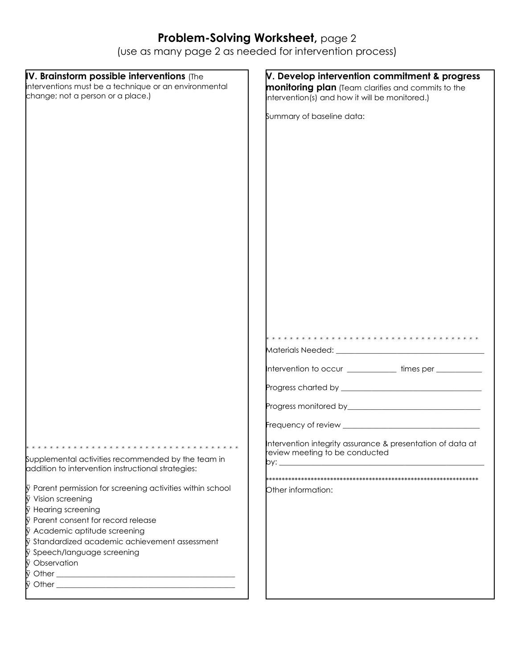## **Problem-Solving Worksheet,** page 2

(use as many page 2 as needed for intervention process)

| IV. Brainstorm possible interventions (The                 | V. Develop intervention commitment & progress              |  |
|------------------------------------------------------------|------------------------------------------------------------|--|
| interventions must be a technique or an environmental      | <b>monitoring plan</b> (Team clarifies and commits to the  |  |
| change; not a person or a place.)                          | intervention(s) and how it will be monitored.)             |  |
|                                                            |                                                            |  |
|                                                            | Summary of baseline data:                                  |  |
|                                                            |                                                            |  |
|                                                            |                                                            |  |
|                                                            |                                                            |  |
|                                                            |                                                            |  |
|                                                            |                                                            |  |
|                                                            |                                                            |  |
|                                                            |                                                            |  |
|                                                            |                                                            |  |
|                                                            |                                                            |  |
|                                                            |                                                            |  |
|                                                            |                                                            |  |
|                                                            |                                                            |  |
|                                                            |                                                            |  |
|                                                            |                                                            |  |
|                                                            |                                                            |  |
|                                                            |                                                            |  |
|                                                            |                                                            |  |
|                                                            |                                                            |  |
|                                                            |                                                            |  |
|                                                            |                                                            |  |
|                                                            |                                                            |  |
|                                                            | Intervention to occur _____________times per ___________   |  |
|                                                            |                                                            |  |
|                                                            |                                                            |  |
|                                                            |                                                            |  |
|                                                            |                                                            |  |
|                                                            |                                                            |  |
|                                                            |                                                            |  |
|                                                            | Intervention integrity assurance & presentation of data at |  |
| Supplemental activities recommended by the team in         | review meeting to be conducted                             |  |
| addition to intervention instructional strategies:         |                                                            |  |
|                                                            |                                                            |  |
| ÿ Parent permission for screening activities within school | Other information:                                         |  |
| ÿ Vision screening                                         |                                                            |  |
| <b>ÿ</b> Hearing screening                                 |                                                            |  |
| Vy Parent consent for record release                       |                                                            |  |
| ÿ Academic aptitude screening                              |                                                            |  |
| iy Standardized academic achievement assessment            |                                                            |  |
| ÿ Speech/language screening<br>ÿ Observation               |                                                            |  |
|                                                            |                                                            |  |
|                                                            |                                                            |  |
|                                                            |                                                            |  |
|                                                            |                                                            |  |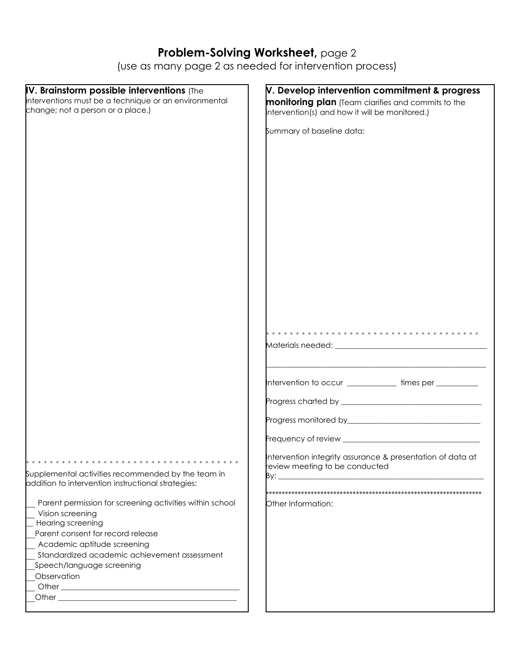## **Problem-Solving Worksheet,** page 2

(use as many page 2 as needed for intervention process)

| IV. Brainstorm possible interventions (The               | V. Develop intervention commitment & progress                                                |  |
|----------------------------------------------------------|----------------------------------------------------------------------------------------------|--|
| interventions must be a technique or an environmental    | <b>monitoring plan</b> (Team clarifies and commits to the                                    |  |
| change; not a person or a place.)                        | intervention(s) and how it will be monitored.)                                               |  |
|                                                          |                                                                                              |  |
|                                                          | Summary of baseline data:                                                                    |  |
|                                                          |                                                                                              |  |
|                                                          |                                                                                              |  |
|                                                          |                                                                                              |  |
|                                                          |                                                                                              |  |
|                                                          |                                                                                              |  |
|                                                          |                                                                                              |  |
|                                                          |                                                                                              |  |
|                                                          |                                                                                              |  |
|                                                          |                                                                                              |  |
|                                                          |                                                                                              |  |
|                                                          |                                                                                              |  |
|                                                          |                                                                                              |  |
|                                                          |                                                                                              |  |
|                                                          |                                                                                              |  |
|                                                          |                                                                                              |  |
|                                                          |                                                                                              |  |
|                                                          |                                                                                              |  |
|                                                          |                                                                                              |  |
|                                                          |                                                                                              |  |
|                                                          |                                                                                              |  |
|                                                          |                                                                                              |  |
|                                                          |                                                                                              |  |
|                                                          |                                                                                              |  |
|                                                          | Intervention to occur _____________times per __________                                      |  |
|                                                          |                                                                                              |  |
|                                                          |                                                                                              |  |
|                                                          |                                                                                              |  |
|                                                          |                                                                                              |  |
|                                                          |                                                                                              |  |
|                                                          |                                                                                              |  |
|                                                          | Intervention integrity assurance & presentation of data at<br>review meeting to be conducted |  |
| Supplemental activities recommended by the team in       |                                                                                              |  |
| addition to intervention instructional strategies:       |                                                                                              |  |
|                                                          |                                                                                              |  |
| Parent permission for screening activities within school | Other Information:                                                                           |  |
| Vision screening                                         |                                                                                              |  |
| Hearing screening                                        |                                                                                              |  |
| Parent consent for record release                        |                                                                                              |  |
| Academic aptitude screening                              |                                                                                              |  |
| Standardized academic achievement assessment             |                                                                                              |  |
| Speech/language screening                                |                                                                                              |  |
| Observation                                              |                                                                                              |  |
|                                                          |                                                                                              |  |
|                                                          |                                                                                              |  |
|                                                          |                                                                                              |  |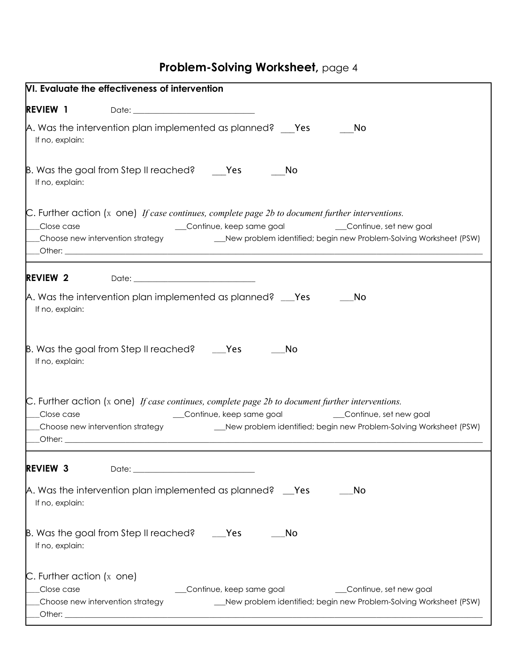## **Problem-Solving Worksheet,** page 4

| VI. Evaluate the effectiveness of intervention                                                                                                                                                                                                                                                                                                                                                                                                                                                                                         |
|----------------------------------------------------------------------------------------------------------------------------------------------------------------------------------------------------------------------------------------------------------------------------------------------------------------------------------------------------------------------------------------------------------------------------------------------------------------------------------------------------------------------------------------|
| <b>REVIEW 1</b>                                                                                                                                                                                                                                                                                                                                                                                                                                                                                                                        |
| A. Was the intervention plan implemented as planned? Yes<br>No<br>If no, explain:                                                                                                                                                                                                                                                                                                                                                                                                                                                      |
| $\beta$ . Was the goal from Step II reached? Yes<br>No<br>If no, explain:                                                                                                                                                                                                                                                                                                                                                                                                                                                              |
| $\mathcal{C}$ . Further action (x one) If case continues, complete page 2b to document further interventions.<br>Continue, keep same goal _____________Continue, set new goal<br>Close case<br>Choose new intervention strategy _______________New problem identified; begin new Problem-Solving Worksheet (PSW)                                                                                                                                                                                                                       |
| <b>REVIEW 2</b>                                                                                                                                                                                                                                                                                                                                                                                                                                                                                                                        |
| A. Was the intervention plan implemented as planned? ___Yes<br>No<br>If no, explain:                                                                                                                                                                                                                                                                                                                                                                                                                                                   |
| $\beta$ . Was the goal from Step II reached? ____ Yes<br><b>No</b><br>If no, explain:                                                                                                                                                                                                                                                                                                                                                                                                                                                  |
| $\mathbb C$ . Further action (x one) If case continues, complete page 2b to document further interventions.<br>__Continue, keep same goal<br>Continue, set new goal<br>Close case<br>__Choose new intervention strategy<br>__New problem identified; begin new Problem-Solving Worksheet (PSW)<br><u>Department of the contract of the contract of the contract of the contract of the contract of the contract of the contract of the contract of the contract of the contract of the contract of the contract of the contract of</u> |
| <b>REVIEW 3</b><br>Date:                                                                                                                                                                                                                                                                                                                                                                                                                                                                                                               |
| A. Was the intervention plan implemented as planned? __ Yes<br>No<br>If no, explain:                                                                                                                                                                                                                                                                                                                                                                                                                                                   |
| B. Was the goal from Step II reached?<br>$\rule{1em}{0.15mm}$ Yes<br>No<br>If no, explain:                                                                                                                                                                                                                                                                                                                                                                                                                                             |
| $\mathcal{C}$ . Further action (x one)<br>Close case<br>Continue, keep same goal<br>Continue, set new goal<br>Choose new intervention strategy<br>__New problem identified; begin new Problem-Solving Worksheet (PSW)                                                                                                                                                                                                                                                                                                                  |